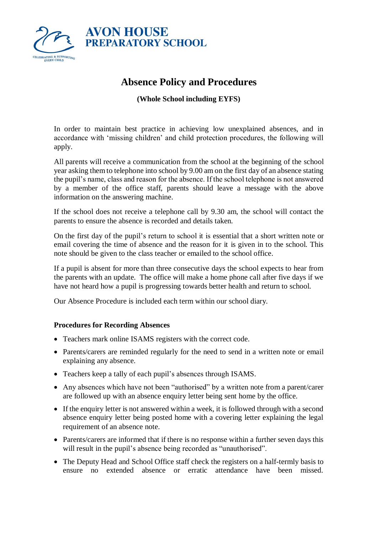

## **Absence Policy and Procedures**

**(Whole School including EYFS)**

In order to maintain best practice in achieving low unexplained absences, and in accordance with 'missing children' and child protection procedures, the following will apply.

All parents will receive a communication from the school at the beginning of the school year asking them to telephone into school by 9.00 am on the first day of an absence stating the pupil's name, class and reason for the absence. If the school telephone is not answered by a member of the office staff, parents should leave a message with the above information on the answering machine.

If the school does not receive a telephone call by 9.30 am, the school will contact the parents to ensure the absence is recorded and details taken.

On the first day of the pupil's return to school it is essential that a short written note or email covering the time of absence and the reason for it is given in to the school. This note should be given to the class teacher or emailed to the school office.

If a pupil is absent for more than three consecutive days the school expects to hear from the parents with an update. The office will make a home phone call after five days if we have not heard how a pupil is progressing towards better health and return to school.

Our Absence Procedure is included each term within our school diary.

## **Procedures for Recording Absences**

- Teachers mark online ISAMS registers with the correct code.
- Parents/carers are reminded regularly for the need to send in a written note or email explaining any absence.
- Teachers keep a tally of each pupil's absences through ISAMS.
- Any absences which have not been "authorised" by a written note from a parent/carer are followed up with an absence enquiry letter being sent home by the office.
- If the enquiry letter is not answered within a week, it is followed through with a second absence enquiry letter being posted home with a covering letter explaining the legal requirement of an absence note.
- Parents/carers are informed that if there is no response within a further seven days this will result in the pupil's absence being recorded as "unauthorised".
- The Deputy Head and School Office staff check the registers on a half-termly basis to ensure no extended absence or erratic attendance have been missed.